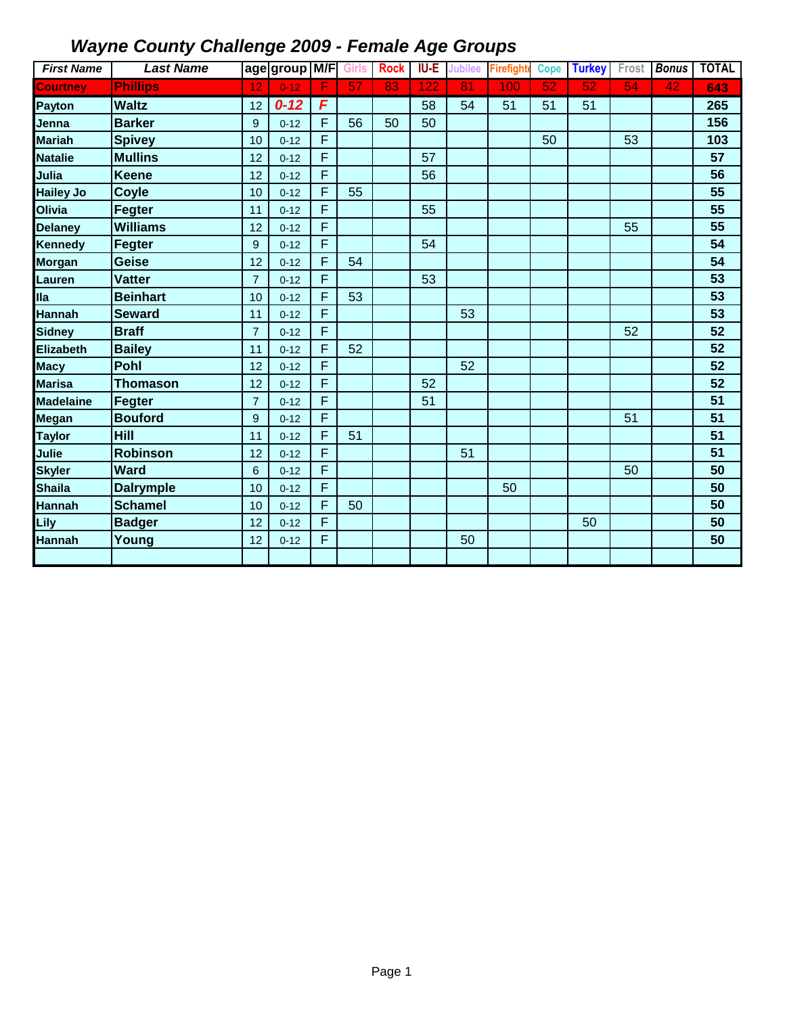| <b>First Name</b> | <b>Last Name</b> |                | age group M/F |   | <b>Girls</b>    | <b>Rock</b> | <b>IU-E</b> | <b>Jubilee</b>  | <b>Firefight</b> | <b>Cope</b>     | <b>Turkey</b>   | Frost | <b>Bonus</b>    | <b>TOTAL</b> |
|-------------------|------------------|----------------|---------------|---|-----------------|-------------|-------------|-----------------|------------------|-----------------|-----------------|-------|-----------------|--------------|
| <b>Courtney</b>   | <b>Phillips</b>  | 12             | $0 - 12$      | F | $\overline{57}$ | 83          | 122         | $\overline{81}$ | 100              | $\overline{52}$ | $\overline{52}$ | 54    | $\overline{42}$ | 643          |
| <b>Payton</b>     | <b>Waltz</b>     | 12             | $0 - 12$      | F |                 |             | 58          | 54              | 51               | 51              | 51              |       |                 | 265          |
| Jenna             | <b>Barker</b>    | 9              | $0 - 12$      | F | 56              | 50          | 50          |                 |                  |                 |                 |       |                 | 156          |
| <b>Mariah</b>     | <b>Spivey</b>    | 10             | $0 - 12$      | F |                 |             |             |                 |                  | 50              |                 | 53    |                 | 103          |
| <b>Natalie</b>    | <b>Mullins</b>   | 12             | $0 - 12$      | F |                 |             | 57          |                 |                  |                 |                 |       |                 | 57           |
| Julia             | <b>Keene</b>     | 12             | $0 - 12$      | F |                 |             | 56          |                 |                  |                 |                 |       |                 | 56           |
| <b>Hailey Jo</b>  | <b>Coyle</b>     | 10             | $0 - 12$      | F | 55              |             |             |                 |                  |                 |                 |       |                 | 55           |
| Olivia            | Fegter           | 11             | $0 - 12$      | F |                 |             | 55          |                 |                  |                 |                 |       |                 | 55           |
| <b>Delaney</b>    | <b>Williams</b>  | 12             | $0 - 12$      | F |                 |             |             |                 |                  |                 |                 | 55    |                 | 55           |
| <b>Kennedy</b>    | Fegter           | 9              | $0 - 12$      | F |                 |             | 54          |                 |                  |                 |                 |       |                 | 54           |
| <b>Morgan</b>     | <b>Geise</b>     | 12             | $0 - 12$      | F | 54              |             |             |                 |                  |                 |                 |       |                 | 54           |
| Lauren            | <b>Vatter</b>    | $\overline{7}$ | $0 - 12$      | F |                 |             | 53          |                 |                  |                 |                 |       |                 | 53           |
| <b>Ila</b>        | <b>Beinhart</b>  | 10             | $0 - 12$      | F | 53              |             |             |                 |                  |                 |                 |       |                 | 53           |
| <b>Hannah</b>     | <b>Seward</b>    | 11             | $0 - 12$      | F |                 |             |             | 53              |                  |                 |                 |       |                 | 53           |
| <b>Sidney</b>     | <b>Braff</b>     | $\overline{7}$ | $0 - 12$      | F |                 |             |             |                 |                  |                 |                 | 52    |                 | 52           |
| <b>Elizabeth</b>  | <b>Bailey</b>    | 11             | $0 - 12$      | F | 52              |             |             |                 |                  |                 |                 |       |                 | 52           |
| <b>Macy</b>       | <b>Pohl</b>      | 12             | $0 - 12$      | F |                 |             |             | 52              |                  |                 |                 |       |                 | 52           |
| <b>Marisa</b>     | <b>Thomason</b>  | 12             | $0 - 12$      | F |                 |             | 52          |                 |                  |                 |                 |       |                 | 52           |
| <b>Madelaine</b>  | Fegter           | $\overline{7}$ | $0 - 12$      | F |                 |             | 51          |                 |                  |                 |                 |       |                 | 51           |
| Megan             | <b>Bouford</b>   | 9              | $0 - 12$      | F |                 |             |             |                 |                  |                 |                 | 51    |                 | 51           |
| <b>Taylor</b>     | Hill             | 11             | $0 - 12$      | F | 51              |             |             |                 |                  |                 |                 |       |                 | 51           |
| Julie             | <b>Robinson</b>  | 12             | $0 - 12$      | F |                 |             |             | 51              |                  |                 |                 |       |                 | 51           |
| <b>Skyler</b>     | <b>Ward</b>      | 6              | $0 - 12$      | F |                 |             |             |                 |                  |                 |                 | 50    |                 | 50           |
| <b>Shaila</b>     | <b>Dalrymple</b> | 10             | $0 - 12$      | F |                 |             |             |                 | 50               |                 |                 |       |                 | 50           |
| <b>Hannah</b>     | <b>Schamel</b>   | 10             | $0 - 12$      | F | 50              |             |             |                 |                  |                 |                 |       |                 | 50           |
| Lily              | <b>Badger</b>    | 12             | $0 - 12$      | F |                 |             |             |                 |                  |                 | 50              |       |                 | 50           |
| <b>Hannah</b>     | Young            | 12             | $0 - 12$      | F |                 |             |             | 50              |                  |                 |                 |       |                 | 50           |
|                   |                  |                |               |   |                 |             |             |                 |                  |                 |                 |       |                 |              |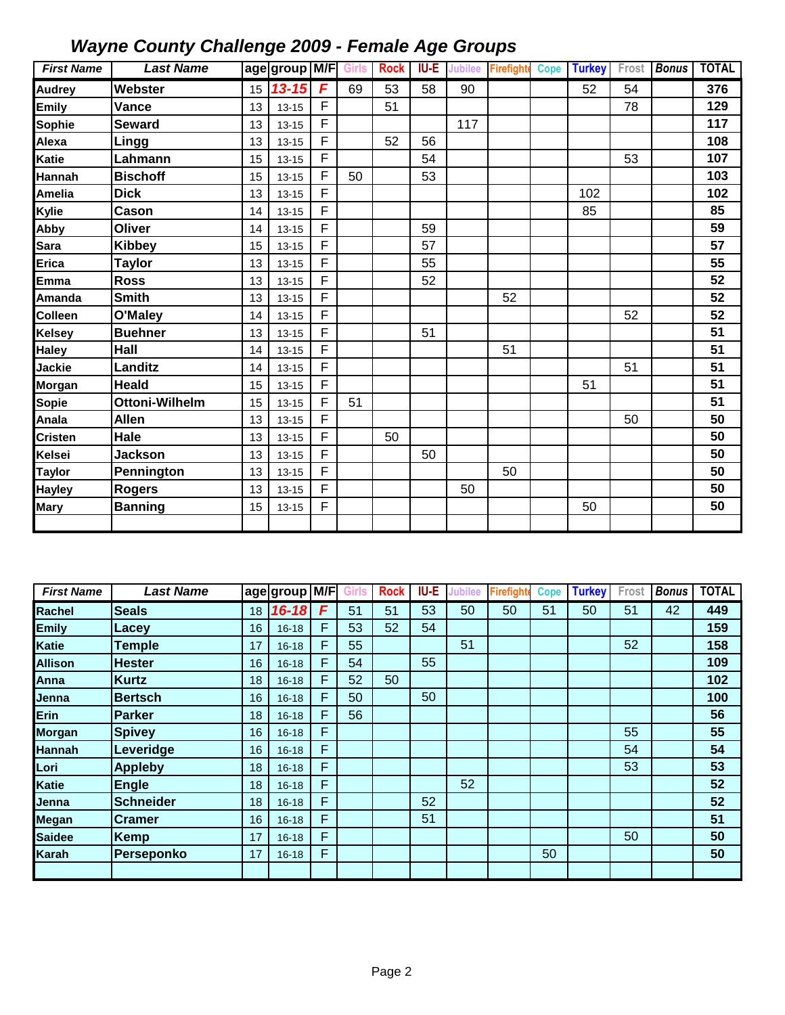| <b>First Name</b> | <b>Last Name</b> |    | age group M/F Girls |   |    | <b>Rock</b> | IU-E | <b>Jubilee</b> | <b>Firefighte</b> | <b>Cope</b> | <b>Turkey</b> | Frost | <b>Bonus</b> | <b>TOTAL</b> |
|-------------------|------------------|----|---------------------|---|----|-------------|------|----------------|-------------------|-------------|---------------|-------|--------------|--------------|
| <b>Audrey</b>     | Webster          | 15 | $13 - 15$           | F | 69 | 53          | 58   | 90             |                   |             | 52            | 54    |              | 376          |
| <b>Emily</b>      | Vance            | 13 | $13 - 15$           | F |    | 51          |      |                |                   |             |               | 78    |              | 129          |
| Sophie            | <b>Seward</b>    | 13 | $13 - 15$           | F |    |             |      | 117            |                   |             |               |       |              | 117          |
| Alexa             | Lingg            | 13 | $13 - 15$           | F |    | 52          | 56   |                |                   |             |               |       |              | 108          |
| Katie             | Lahmann          | 15 | $13 - 15$           | F |    |             | 54   |                |                   |             |               | 53    |              | 107          |
| Hannah            | <b>Bischoff</b>  | 15 | $13 - 15$           | F | 50 |             | 53   |                |                   |             |               |       |              | 103          |
| Amelia            | <b>Dick</b>      | 13 | $13 - 15$           | F |    |             |      |                |                   |             | 102           |       |              | 102          |
| Kylie             | Cason            | 14 | $13 - 15$           | F |    |             |      |                |                   |             | 85            |       |              | 85           |
| Abby              | <b>Oliver</b>    | 14 | $13 - 15$           | F |    |             | 59   |                |                   |             |               |       |              | 59           |
| Sara              | <b>Kibbey</b>    | 15 | $13 - 15$           | F |    |             | 57   |                |                   |             |               |       |              | 57           |
| Erica             | <b>Taylor</b>    | 13 | $13 - 15$           | F |    |             | 55   |                |                   |             |               |       |              | 55           |
| <b>Emma</b>       | <b>Ross</b>      | 13 | $13 - 15$           | F |    |             | 52   |                |                   |             |               |       |              | 52           |
| Amanda            | <b>Smith</b>     | 13 | $13 - 15$           | F |    |             |      |                | 52                |             |               |       |              | 52           |
| Colleen           | O'Maley          | 14 | $13 - 15$           | F |    |             |      |                |                   |             |               | 52    |              | 52           |
| Kelsey            | <b>Buehner</b>   | 13 | $13 - 15$           | F |    |             | 51   |                |                   |             |               |       |              | 51           |
| <b>Haley</b>      | Hall             | 14 | $13 - 15$           | F |    |             |      |                | 51                |             |               |       |              | 51           |
| Jackie            | <b>Landitz</b>   | 14 | $13 - 15$           | F |    |             |      |                |                   |             |               | 51    |              | 51           |
| Morgan            | Heald            | 15 | $13 - 15$           | F |    |             |      |                |                   |             | 51            |       |              | 51           |
| Sopie             | Ottoni-Wilhelm   | 15 | $13 - 15$           | F | 51 |             |      |                |                   |             |               |       |              | 51           |
| Anala             | <b>Allen</b>     | 13 | $13 - 15$           | F |    |             |      |                |                   |             |               | 50    |              | 50           |
| Cristen           | Hale             | 13 | $13 - 15$           | F |    | 50          |      |                |                   |             |               |       |              | 50           |
| Kelsei            | <b>Jackson</b>   | 13 | $13 - 15$           | F |    |             | 50   |                |                   |             |               |       |              | 50           |
| <b>Taylor</b>     | Pennington       | 13 | $13 - 15$           | F |    |             |      |                | 50                |             |               |       |              | 50           |
| <b>Hayley</b>     | <b>Rogers</b>    | 13 | $13 - 15$           | F |    |             |      | 50             |                   |             |               |       |              | 50           |
| <b>Mary</b>       | <b>Banning</b>   | 15 | $13 - 15$           | F |    |             |      |                |                   |             | 50            |       |              | 50           |
|                   |                  |    |                     |   |    |             |      |                |                   |             |               |       |              |              |

| <b>First Name</b> | <b>Last Name</b> |    | age group M/F |   | Girls | <b>Rock</b> | <b>IU-E</b> | Jubilee | Firefight | <b>Cope</b> | <b>Turkey</b> | Frost | <b>Bonus</b> | <b>TOTAL</b> |
|-------------------|------------------|----|---------------|---|-------|-------------|-------------|---------|-----------|-------------|---------------|-------|--------------|--------------|
| Rachel            | <b>Seals</b>     | 18 | $16 - 18$     | F | 51    | 51          | 53          | 50      | 50        | 51          | 50            | 51    | 42           | 449          |
| <b>Emily</b>      | Lacev            | 16 | $16 - 18$     | F | 53    | 52          | 54          |         |           |             |               |       |              | 159          |
| Katie             | <b>Temple</b>    | 17 | $16 - 18$     | F | 55    |             |             | 51      |           |             |               | 52    |              | 158          |
| <b>Allison</b>    | <b>Hester</b>    | 16 | $16 - 18$     | F | 54    |             | 55          |         |           |             |               |       |              | 109          |
| Anna              | <b>Kurtz</b>     | 18 | $16 - 18$     | F | 52    | 50          |             |         |           |             |               |       |              | 102          |
| Jenna             | <b>Bertsch</b>   | 16 | $16 - 18$     | F | 50    |             | 50          |         |           |             |               |       |              | 100          |
| Erin              | Parker           | 18 | $16 - 18$     | F | 56    |             |             |         |           |             |               |       |              | 56           |
| <b>Morgan</b>     | <b>Spivey</b>    | 16 | $16 - 18$     | F |       |             |             |         |           |             |               | 55    |              | 55           |
| <b>Hannah</b>     | Leveridge        | 16 | $16 - 18$     | F |       |             |             |         |           |             |               | 54    |              | 54           |
| Lori              | <b>Appleby</b>   | 18 | $16 - 18$     | F |       |             |             |         |           |             |               | 53    |              | 53           |
| Katie             | <b>Engle</b>     | 18 | $16 - 18$     | F |       |             |             | 52      |           |             |               |       |              | 52           |
| Jenna             | <b>Schneider</b> | 18 | $16 - 18$     | F |       |             | 52          |         |           |             |               |       |              | 52           |
| Megan             | <b>Cramer</b>    | 16 | $16 - 18$     | F |       |             | 51          |         |           |             |               |       |              | 51           |
| <b>Saidee</b>     | Kemp             | 17 | $16 - 18$     | F |       |             |             |         |           |             |               | 50    |              | 50           |
| Karah             | Perseponko       | 17 | $16 - 18$     | F |       |             |             |         |           | 50          |               |       |              | 50           |
|                   |                  |    |               |   |       |             |             |         |           |             |               |       |              |              |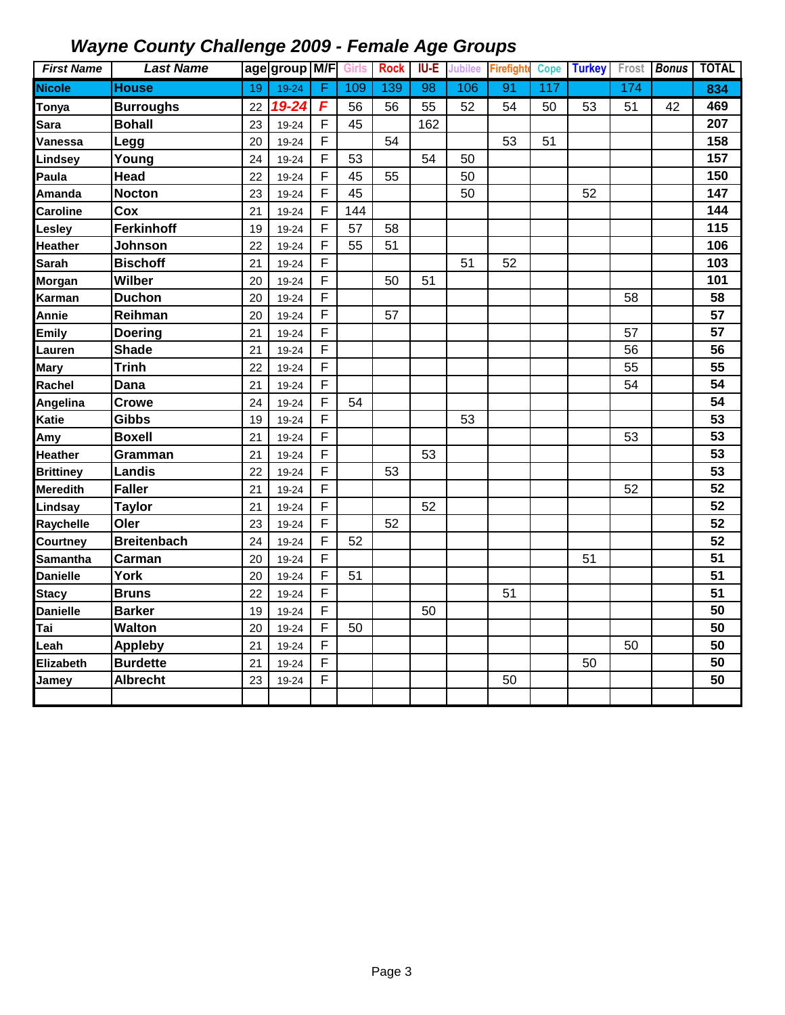| <b>First Name</b> | <b>Last Name</b>   |    | age group M/F |                | <b>Girls</b> | <b>Rock</b> | <b>IU-E</b>     | Jubilee | <b>Firefighte</b> | <b>Cope</b> | <b>Turkey</b> | Frost | <b>Bonus</b> | <b>TOTAL</b>    |
|-------------------|--------------------|----|---------------|----------------|--------------|-------------|-----------------|---------|-------------------|-------------|---------------|-------|--------------|-----------------|
| <b>Nicole</b>     | <b>House</b>       | 19 | $19 - 24$     | F              | 109          | 139         | $\overline{98}$ | 106     | 91                | 117         |               | 174   |              | 834             |
| Tonya             | <b>Burroughs</b>   | 22 | 19-24         | F              | 56           | 56          | 55              | 52      | 54                | 50          | 53            | 51    | 42           | 469             |
| Sara              | <b>Bohall</b>      | 23 | 19-24         | F              | 45           |             | 162             |         |                   |             |               |       |              | 207             |
| Vanessa           | Legg               | 20 | 19-24         | F              |              | 54          |                 |         | 53                | 51          |               |       |              | 158             |
| Lindsey           | Young              | 24 | 19-24         | F              | 53           |             | 54              | 50      |                   |             |               |       |              | 157             |
| Paula             | Head               | 22 | 19-24         | F              | 45           | 55          |                 | 50      |                   |             |               |       |              | 150             |
| Amanda            | <b>Nocton</b>      | 23 | 19-24         | F              | 45           |             |                 | 50      |                   |             | 52            |       |              | 147             |
| Caroline          | Cox                | 21 | 19-24         | F              | 144          |             |                 |         |                   |             |               |       |              | 144             |
| Lesley            | <b>Ferkinhoff</b>  | 19 | 19-24         | F              | 57           | 58          |                 |         |                   |             |               |       |              | 115             |
| <b>Heather</b>    | Johnson            | 22 | 19-24         | $\overline{F}$ | 55           | 51          |                 |         |                   |             |               |       |              | 106             |
| <b>Sarah</b>      | <b>Bischoff</b>    | 21 | 19-24         | F              |              |             |                 | 51      | 52                |             |               |       |              | 103             |
| Morgan            | <b>Wilber</b>      | 20 | 19-24         | F              |              | 50          | 51              |         |                   |             |               |       |              | 101             |
| Karman            | <b>Duchon</b>      | 20 | 19-24         | F              |              |             |                 |         |                   |             |               | 58    |              | 58              |
| Annie             | Reihman            | 20 | 19-24         | F              |              | 57          |                 |         |                   |             |               |       |              | 57              |
| <b>Emily</b>      | <b>Doering</b>     | 21 | 19-24         | F              |              |             |                 |         |                   |             |               | 57    |              | 57              |
| Lauren            | <b>Shade</b>       | 21 | 19-24         | F              |              |             |                 |         |                   |             |               | 56    |              | 56              |
| <b>Mary</b>       | <b>Trinh</b>       | 22 | 19-24         | F              |              |             |                 |         |                   |             |               | 55    |              | 55              |
| Rachel            | Dana               | 21 | 19-24         | F              |              |             |                 |         |                   |             |               | 54    |              | 54              |
| Angelina          | <b>Crowe</b>       | 24 | 19-24         | F              | 54           |             |                 |         |                   |             |               |       |              | 54              |
| <b>Katie</b>      | <b>Gibbs</b>       | 19 | 19-24         | F              |              |             |                 | 53      |                   |             |               |       |              | 53              |
| Amy               | <b>Boxell</b>      | 21 | 19-24         | F              |              |             |                 |         |                   |             |               | 53    |              | 53              |
| <b>Heather</b>    | Gramman            | 21 | 19-24         | F              |              |             | 53              |         |                   |             |               |       |              | 53              |
| <b>Brittiney</b>  | <b>Landis</b>      | 22 | 19-24         | F              |              | 53          |                 |         |                   |             |               |       |              | 53              |
| <b>Meredith</b>   | <b>Faller</b>      | 21 | 19-24         | F              |              |             |                 |         |                   |             |               | 52    |              | 52              |
| Lindsay           | <b>Taylor</b>      | 21 | 19-24         | F              |              |             | 52              |         |                   |             |               |       |              | 52              |
| Raychelle         | Oler               | 23 | 19-24         | F              |              | 52          |                 |         |                   |             |               |       |              | 52              |
| Courtney          | <b>Breitenbach</b> | 24 | 19-24         | F              | 52           |             |                 |         |                   |             |               |       |              | 52              |
| <b>Samantha</b>   | Carman             | 20 | 19-24         | F              |              |             |                 |         |                   |             | 51            |       |              | 51              |
| <b>Danielle</b>   | <b>York</b>        | 20 | 19-24         | F              | 51           |             |                 |         |                   |             |               |       |              | $\overline{51}$ |
| <b>Stacy</b>      | <b>Bruns</b>       | 22 | 19-24         | F              |              |             |                 |         | 51                |             |               |       |              | $\overline{51}$ |
| <b>Danielle</b>   | <b>Barker</b>      | 19 | 19-24         | F              |              |             | 50              |         |                   |             |               |       |              | 50              |
| Tai               | <b>Walton</b>      | 20 | 19-24         | F              | 50           |             |                 |         |                   |             |               |       |              | 50              |
| Leah              | <b>Appleby</b>     | 21 | 19-24         | F              |              |             |                 |         |                   |             |               | 50    |              | 50              |
| Elizabeth         | <b>Burdette</b>    | 21 | 19-24         | F              |              |             |                 |         |                   |             | 50            |       |              | 50              |
| Jamey             | <b>Albrecht</b>    | 23 | 19-24         | F              |              |             |                 |         | 50                |             |               |       |              | 50              |
|                   |                    |    |               |                |              |             |                 |         |                   |             |               |       |              |                 |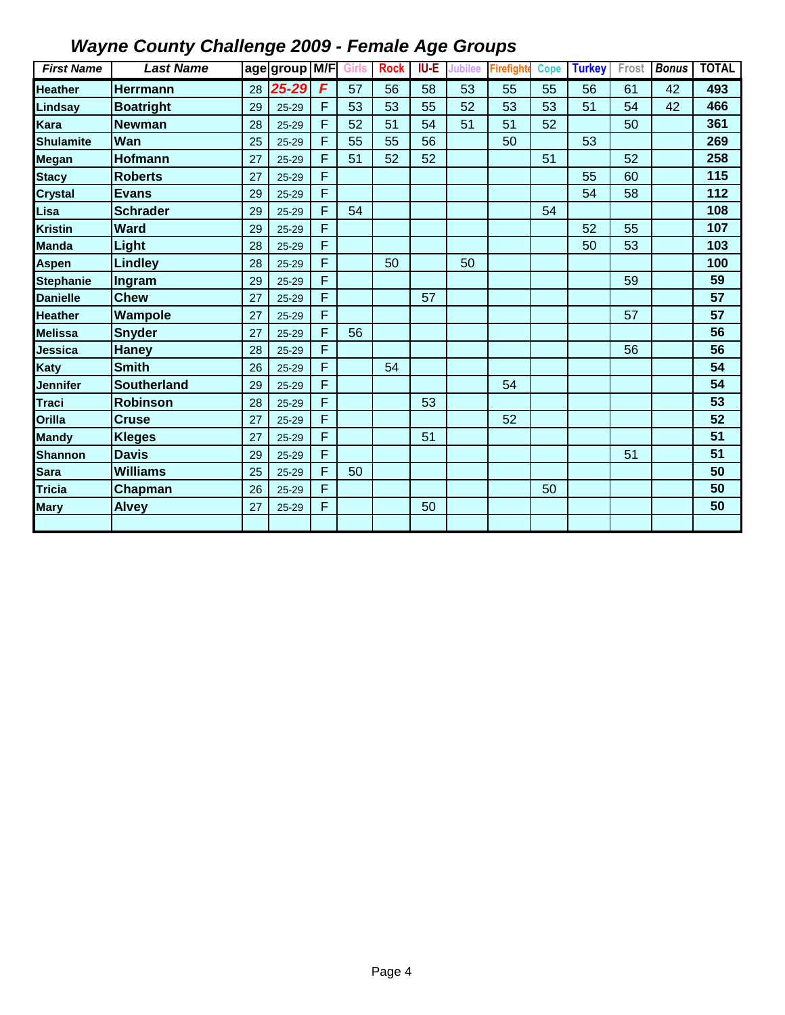| <b>First Name</b> | <b>Last Name</b>   |    | age group M/F |   | <b>Girls</b> | <b>Rock</b> | <b>IU-E</b> | <b>Jubilee</b> | <b>Firefighte</b> | <b>Cope</b> | <b>Turkey</b> | Frost | <b>Bonus</b> | <b>TOTAL</b> |
|-------------------|--------------------|----|---------------|---|--------------|-------------|-------------|----------------|-------------------|-------------|---------------|-------|--------------|--------------|
| <b>Heather</b>    | <b>Herrmann</b>    | 28 | 25-29         | F | 57           | 56          | 58          | 53             | 55                | 55          | 56            | 61    | 42           | 493          |
| Lindsay           | <b>Boatright</b>   | 29 | $25 - 29$     | F | 53           | 53          | 55          | 52             | 53                | 53          | 51            | 54    | 42           | 466          |
| Kara              | <b>Newman</b>      | 28 | $25 - 29$     | F | 52           | 51          | 54          | 51             | 51                | 52          |               | 50    |              | 361          |
| <b>Shulamite</b>  | Wan                | 25 | $25 - 29$     | F | 55           | 55          | 56          |                | 50                |             | 53            |       |              | 269          |
| Megan             | <b>Hofmann</b>     | 27 | $25 - 29$     | F | 51           | 52          | 52          |                |                   | 51          |               | 52    |              | 258          |
| <b>Stacy</b>      | <b>Roberts</b>     | 27 | $25 - 29$     | F |              |             |             |                |                   |             | 55            | 60    |              | 115          |
| <b>Crystal</b>    | <b>Evans</b>       | 29 | $25 - 29$     | F |              |             |             |                |                   |             | 54            | 58    |              | 112          |
| Lisa              | <b>Schrader</b>    | 29 | $25 - 29$     | F | 54           |             |             |                |                   | 54          |               |       |              | 108          |
| <b>Kristin</b>    | <b>Ward</b>        | 29 | $25 - 29$     | F |              |             |             |                |                   |             | 52            | 55    |              | 107          |
| <b>Manda</b>      | Light              | 28 | $25 - 29$     | F |              |             |             |                |                   |             | 50            | 53    |              | 103          |
| Aspen             | <b>Lindley</b>     | 28 | $25 - 29$     | F |              | 50          |             | 50             |                   |             |               |       |              | 100          |
| <b>Stephanie</b>  | Ingram             | 29 | $25 - 29$     | F |              |             |             |                |                   |             |               | 59    |              | 59           |
| <b>Danielle</b>   | <b>Chew</b>        | 27 | $25 - 29$     | F |              |             | 57          |                |                   |             |               |       |              | 57           |
| <b>Heather</b>    | Wampole            | 27 | $25 - 29$     | F |              |             |             |                |                   |             |               | 57    |              | 57           |
| Melissa           | Snyder             | 27 | $25 - 29$     | F | 56           |             |             |                |                   |             |               |       |              | 56           |
| Jessica           | <b>Haney</b>       | 28 | $25 - 29$     | F |              |             |             |                |                   |             |               | 56    |              | 56           |
| Katy              | <b>Smith</b>       | 26 | $25 - 29$     | F |              | 54          |             |                |                   |             |               |       |              | 54           |
| Jennifer          | <b>Southerland</b> | 29 | $25 - 29$     | F |              |             |             |                | 54                |             |               |       |              | 54           |
| <b>Traci</b>      | <b>Robinson</b>    | 28 | $25 - 29$     | F |              |             | 53          |                |                   |             |               |       |              | 53           |
| Orilla            | <b>Cruse</b>       | 27 | $25 - 29$     | F |              |             |             |                | 52                |             |               |       |              | 52           |
| <b>Mandy</b>      | <b>Kleges</b>      | 27 | $25 - 29$     | F |              |             | 51          |                |                   |             |               |       |              | 51           |
| Shannon           | <b>Davis</b>       | 29 | $25 - 29$     | F |              |             |             |                |                   |             |               | 51    |              | 51           |
| Sara              | <b>Williams</b>    | 25 | $25 - 29$     | F | 50           |             |             |                |                   |             |               |       |              | 50           |
| <b>Tricia</b>     | Chapman            | 26 | $25 - 29$     | F |              |             |             |                |                   | 50          |               |       |              | 50           |
| <b>Mary</b>       | <b>Alvey</b>       | 27 | $25 - 29$     | F |              |             | 50          |                |                   |             |               |       |              | 50           |
|                   |                    |    |               |   |              |             |             |                |                   |             |               |       |              |              |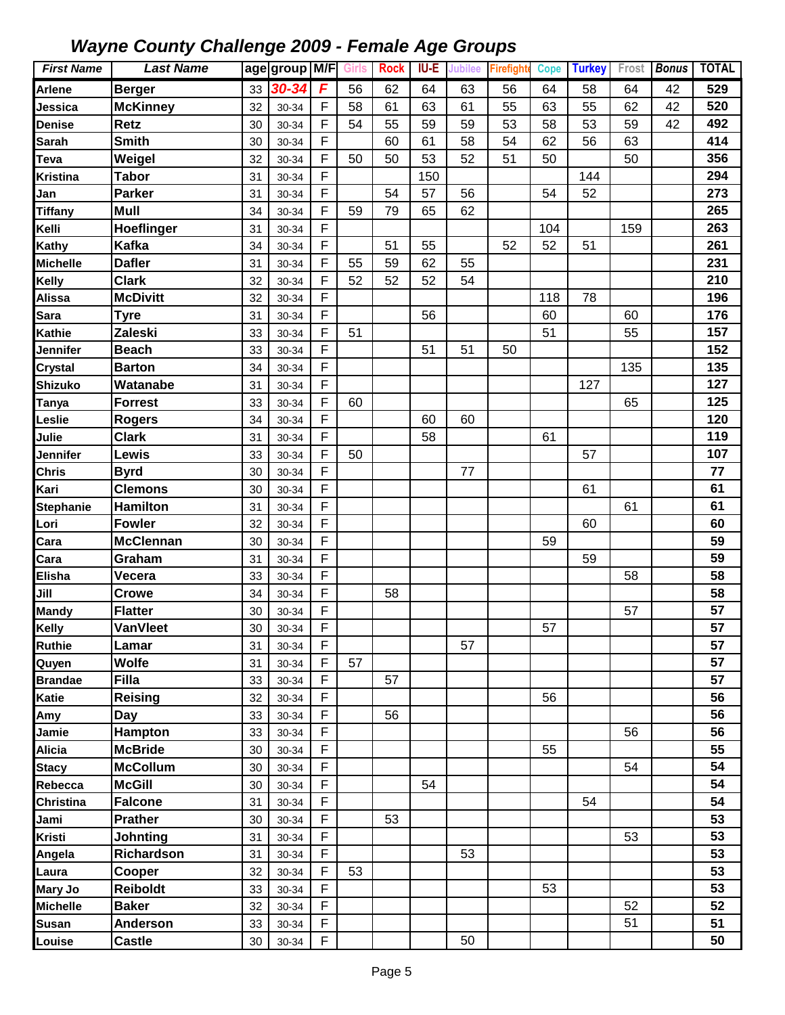| <b>First Name</b> | <b>Last Name</b>               |          | age group M/F  |                  | Girls | <b>Rock</b> | IU-E | <b>Jubilee</b> | <b>Firefighte</b> | <b>Cope</b> | <b>Turkey</b> | Frost | <b>Bonus</b> | <b>TOTAL</b> |
|-------------------|--------------------------------|----------|----------------|------------------|-------|-------------|------|----------------|-------------------|-------------|---------------|-------|--------------|--------------|
| Arlene            | <b>Berger</b>                  | 33       | 30-34          | F                | 56    | 62          | 64   | 63             | 56                | 64          | 58            | 64    | 42           | 529          |
| Jessica           | <b>McKinney</b>                | 32       | 30-34          | F                | 58    | 61          | 63   | 61             | 55                | 63          | 55            | 62    | 42           | 520          |
| <b>Denise</b>     | <b>Retz</b>                    | 30       | 30-34          | F                | 54    | 55          | 59   | 59             | 53                | 58          | 53            | 59    | 42           | 492          |
| <b>Sarah</b>      | <b>Smith</b>                   | 30       | 30-34          | $\mathsf F$      |       | 60          | 61   | 58             | 54                | 62          | 56            | 63    |              | 414          |
| <b>Teva</b>       | Weigel                         | 32       | 30-34          | F                | 50    | 50          | 53   | 52             | 51                | 50          |               | 50    |              | 356          |
| <b>Kristina</b>   | <b>Tabor</b>                   | 31       | 30-34          | F                |       |             | 150  |                |                   |             | 144           |       |              | 294          |
| Jan               | <b>Parker</b>                  | 31       | 30-34          | F                |       | 54          | 57   | 56             |                   | 54          | 52            |       |              | 273          |
| <b>Tiffany</b>    | Mull                           | 34       | 30-34          | F                | 59    | 79          | 65   | 62             |                   |             |               |       |              | 265          |
| Kelli             | Hoeflinger                     | 31       | 30-34          | F                |       |             |      |                |                   | 104         |               | 159   |              | 263          |
| Kathy             | <b>Kafka</b>                   | 34       | 30-34          | F                |       | 51          | 55   |                | 52                | 52          | 51            |       |              | 261          |
| <b>Michelle</b>   | <b>Dafler</b>                  | 31       | 30-34          | F                | 55    | 59          | 62   | 55             |                   |             |               |       |              | 231          |
| <b>Kelly</b>      | <b>Clark</b>                   | 32       | 30-34          | F                | 52    | 52          | 52   | 54             |                   |             |               |       |              | 210          |
| <b>Alissa</b>     | <b>McDivitt</b>                | 32       | 30-34          | F                |       |             |      |                |                   | 118         | 78            |       |              | 196          |
| Sara              | <b>Tyre</b>                    | 31       | 30-34          | F                |       |             | 56   |                |                   | 60          |               | 60    |              | 176          |
| <b>Kathie</b>     | Zaleski                        | 33       | 30-34          | F                | 51    |             |      |                |                   | 51          |               | 55    |              | 157          |
| Jennifer          | <b>Beach</b>                   | 33       | 30-34          | $\mathsf F$      |       |             | 51   | 51             | 50                |             |               |       |              | 152          |
| <b>Crystal</b>    | <b>Barton</b>                  | 34       | 30-34          | F                |       |             |      |                |                   |             |               | 135   |              | 135          |
| <b>Shizuko</b>    | Watanabe                       | 31       | 30-34          | F                |       |             |      |                |                   |             | 127           |       |              | 127          |
| <b>Tanya</b>      | <b>Forrest</b>                 | 33       | 30-34          | F                | 60    |             |      |                |                   |             |               | 65    |              | 125          |
| Leslie            | <b>Rogers</b>                  | 34       | 30-34          | F                |       |             | 60   | 60             |                   |             |               |       |              | 120          |
| Julie             | <b>Clark</b>                   | 31       | 30-34          | F                |       |             | 58   |                |                   | 61          |               |       |              | 119          |
| Jennifer          | Lewis                          | 33       | 30-34          | F                | 50    |             |      |                |                   |             | 57            |       |              | 107          |
| <b>Chris</b>      | <b>Byrd</b>                    | 30       | 30-34          | F                |       |             |      | 77             |                   |             |               |       |              | 77           |
| Kari              | <b>Clemons</b>                 | 30       | 30-34          | F                |       |             |      |                |                   |             | 61            |       |              | 61           |
| <b>Stephanie</b>  | <b>Hamilton</b>                | 31       | 30-34          | F                |       |             |      |                |                   |             |               | 61    |              | 61           |
| Lori              | <b>Fowler</b>                  | 32       | 30-34          | F                |       |             |      |                |                   |             | 60            |       |              | 60           |
| Cara              | <b>McClennan</b>               | 30       | 30-34          | F                |       |             |      |                |                   | 59          |               |       |              | 59           |
| Cara              | Graham                         | 31       | 30-34          | F                |       |             |      |                |                   |             | 59            |       |              | 59           |
| <b>Elisha</b>     | Vecera                         | 33       | 30-34          | $\mathsf F$      |       |             |      |                |                   |             |               | 58    |              | 58           |
| Jill              | <b>Crowe</b>                   | 34       | 30-34          | F                |       | 58          |      |                |                   |             |               |       |              | 58           |
| <b>Mandy</b>      | <b>Flatter</b>                 | 30       | 30-34          | $\mathsf F$      |       |             |      |                |                   |             |               | 57    |              | 57           |
| Kelly             | <b>VanVleet</b>                | 30       | 30-34          | F                |       |             |      |                |                   | 57          |               |       |              | 57           |
| <b>Ruthie</b>     | Lamar                          | 31       | 30-34          | $\mathsf{F}$     |       |             |      | 57             |                   |             |               |       |              | 57           |
| Quyen             | <b>Wolfe</b>                   | 31       | 30-34          | F<br>$\mathsf F$ | 57    |             |      |                |                   |             |               |       |              | 57<br>57     |
| <b>Brandae</b>    | <b>Filla</b><br><b>Reising</b> | 33       | 30-34          | F                |       | 57          |      |                |                   |             |               |       |              | 56           |
| Katie             |                                | 32       | 30-34          | F                |       | 56          |      |                |                   | 56          |               |       |              | 56           |
| Amy<br>Jamie      | Day<br><b>Hampton</b>          | 33<br>33 | 30-34<br>30-34 | F                |       |             |      |                |                   |             |               | 56    |              | 56           |
| <b>Alicia</b>     | <b>McBride</b>                 | 30       | 30-34          | F                |       |             |      |                |                   | 55          |               |       |              | 55           |
| <b>Stacy</b>      | <b>McCollum</b>                | 30       | 30-34          | F                |       |             |      |                |                   |             |               | 54    |              | 54           |
| Rebecca           | <b>McGill</b>                  | 30       | 30-34          | F                |       |             | 54   |                |                   |             |               |       |              | 54           |
| Christina         | <b>Falcone</b>                 | 31       | 30-34          | F                |       |             |      |                |                   |             | 54            |       |              | 54           |
| Jami              | <b>Prather</b>                 | 30       | 30-34          | F                |       | 53          |      |                |                   |             |               |       |              | 53           |
| <b>Kristi</b>     | Johnting                       | 31       | 30-34          | F                |       |             |      |                |                   |             |               | 53    |              | 53           |
| Angela            | Richardson                     | 31       | 30-34          | F                |       |             |      | 53             |                   |             |               |       |              | 53           |
| Laura             | Cooper                         | 32       | 30-34          | F                | 53    |             |      |                |                   |             |               |       |              | 53           |
| Mary Jo           | <b>Reiboldt</b>                | 33       | 30-34          | F                |       |             |      |                |                   | 53          |               |       |              | 53           |
| <b>Michelle</b>   | <b>Baker</b>                   | 32       | 30-34          | F                |       |             |      |                |                   |             |               | 52    |              | 52           |
| <b>Susan</b>      | <b>Anderson</b>                | 33       | 30-34          | F                |       |             |      |                |                   |             |               | 51    |              | 51           |
| Louise            | <b>Castle</b>                  | 30       | 30-34          | F                |       |             |      | 50             |                   |             |               |       |              | 50           |
|                   |                                |          |                |                  |       |             |      |                |                   |             |               |       |              |              |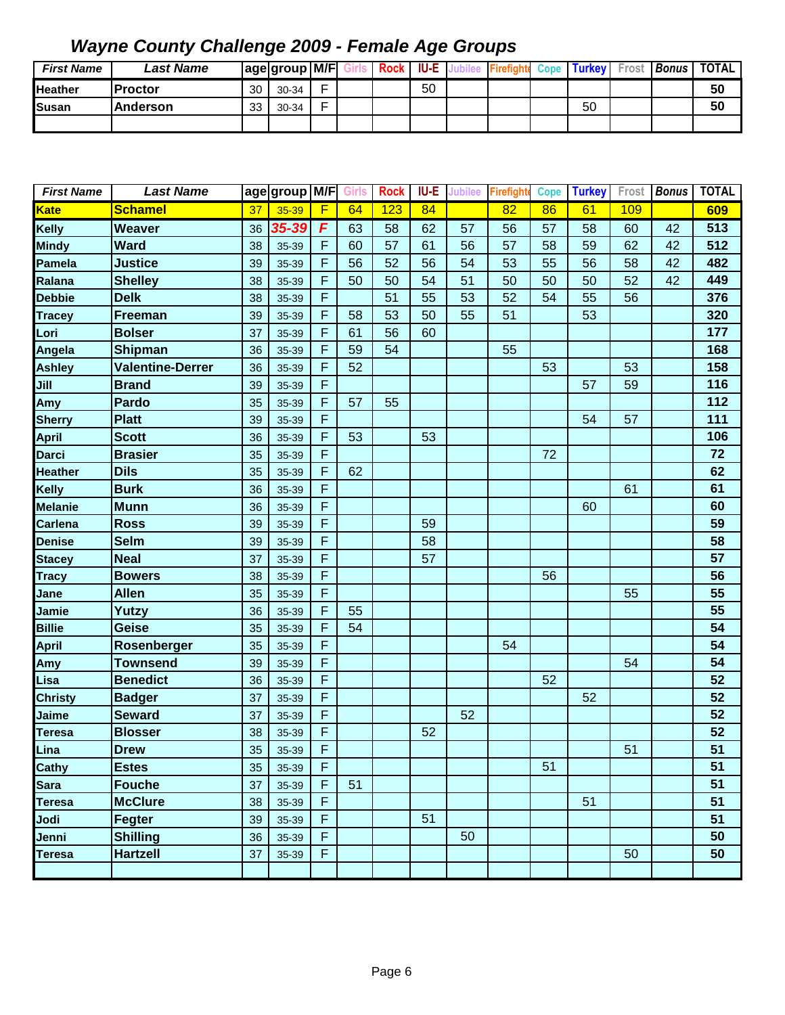| <b>First Name</b> | <b>Last Name</b> |          | age group M/F |   | <b>Rock</b> | <b>IU-E</b> |  | Cope | <b>Turkey</b> I | Frost | <b>Bonus</b> | <b>TOTAL</b> |
|-------------------|------------------|----------|---------------|---|-------------|-------------|--|------|-----------------|-------|--------------|--------------|
| <b>Heather</b>    | IProctor         | 30       | 30-34         | ┍ |             | 50          |  |      |                 |       |              | 50           |
| Susan             | <b>Anderson</b>  | วว<br>ഄഄ | 30-34         | - |             |             |  |      | 50              |       |              | 50           |
|                   |                  |          |               |   |             |             |  |      |                 |       |              |              |

| <b>First Name</b> | <b>Last Name</b>        |    | age group M/F Girls |   |    | <b>Rock</b> | IU-E | <b>Jubilee</b> | <b>Firefight</b> | <b>Cope</b> | <b>Turkey</b> | Frost | <b>Bonus</b> | <b>TOTAL</b> |
|-------------------|-------------------------|----|---------------------|---|----|-------------|------|----------------|------------------|-------------|---------------|-------|--------------|--------------|
| <b>Kate</b>       | <b>Schamel</b>          | 37 | 35-39               | F | 64 | 123         | 84   |                | 82               | 86          | 61            | 109   |              | 609          |
| <b>Kelly</b>      | <b>Weaver</b>           | 36 | 35-39               | F | 63 | 58          | 62   | 57             | 56               | 57          | 58            | 60    | 42           | 513          |
| <b>Mindy</b>      | <b>Ward</b>             | 38 | 35-39               | F | 60 | 57          | 61   | 56             | 57               | 58          | 59            | 62    | 42           | 512          |
| Pamela            | <b>Justice</b>          | 39 | 35-39               | F | 56 | 52          | 56   | 54             | 53               | 55          | 56            | 58    | 42           | 482          |
| Ralana            | <b>Shelley</b>          | 38 | 35-39               | F | 50 | 50          | 54   | 51             | 50               | 50          | 50            | 52    | 42           | 449          |
| <b>Debbie</b>     | <b>Delk</b>             | 38 | 35-39               | F |    | 51          | 55   | 53             | 52               | 54          | 55            | 56    |              | 376          |
| <b>Tracey</b>     | Freeman                 | 39 | 35-39               | F | 58 | 53          | 50   | 55             | 51               |             | 53            |       |              | 320          |
| Lori              | <b>Bolser</b>           | 37 | 35-39               | F | 61 | 56          | 60   |                |                  |             |               |       |              | 177          |
| Angela            | <b>Shipman</b>          | 36 | 35-39               | F | 59 | 54          |      |                | 55               |             |               |       |              | 168          |
| <b>Ashley</b>     | <b>Valentine-Derrer</b> | 36 | 35-39               | F | 52 |             |      |                |                  | 53          |               | 53    |              | 158          |
| Jill              | <b>Brand</b>            | 39 | 35-39               | F |    |             |      |                |                  |             | 57            | 59    |              | 116          |
| Amy               | Pardo                   | 35 | 35-39               | F | 57 | 55          |      |                |                  |             |               |       |              | 112          |
| <b>Sherry</b>     | <b>Platt</b>            | 39 | 35-39               | F |    |             |      |                |                  |             | 54            | 57    |              | 111          |
| <b>April</b>      | <b>Scott</b>            | 36 | 35-39               | F | 53 |             | 53   |                |                  |             |               |       |              | 106          |
| <b>Darci</b>      | <b>Brasier</b>          | 35 | 35-39               | F |    |             |      |                |                  | 72          |               |       |              | 72           |
| <b>Heather</b>    | <b>Dils</b>             | 35 | 35-39               | F | 62 |             |      |                |                  |             |               |       |              | 62           |
| Kelly             | <b>Burk</b>             | 36 | 35-39               | F |    |             |      |                |                  |             |               | 61    |              | 61           |
| <b>Melanie</b>    | <b>Munn</b>             | 36 | 35-39               | F |    |             |      |                |                  |             | 60            |       |              | 60           |
| <b>Carlena</b>    | <b>Ross</b>             | 39 | 35-39               | F |    |             | 59   |                |                  |             |               |       |              | 59           |
| <b>Denise</b>     | <b>Selm</b>             | 39 | 35-39               | F |    |             | 58   |                |                  |             |               |       |              | 58           |
| <b>Stacey</b>     | <b>Neal</b>             | 37 | 35-39               | F |    |             | 57   |                |                  |             |               |       |              | 57           |
| <b>Tracy</b>      | <b>Bowers</b>           | 38 | 35-39               | F |    |             |      |                |                  | 56          |               |       |              | 56           |
| Jane              | <b>Allen</b>            | 35 | 35-39               | F |    |             |      |                |                  |             |               | 55    |              | 55           |
| Jamie             | Yutzy                   | 36 | 35-39               | F | 55 |             |      |                |                  |             |               |       |              | 55           |
| <b>Billie</b>     | <b>Geise</b>            | 35 | 35-39               | F | 54 |             |      |                |                  |             |               |       |              | 54           |
| April             | Rosenberger             | 35 | 35-39               | F |    |             |      |                | 54               |             |               |       |              | 54           |
| Amy               | <b>Townsend</b>         | 39 | 35-39               | F |    |             |      |                |                  |             |               | 54    |              | 54           |
| Lisa              | <b>Benedict</b>         | 36 | 35-39               | F |    |             |      |                |                  | 52          |               |       |              | 52           |
| <b>Christy</b>    | <b>Badger</b>           | 37 | 35-39               | F |    |             |      |                |                  |             | 52            |       |              | 52           |
| Jaime             | <b>Seward</b>           | 37 | 35-39               | F |    |             |      | 52             |                  |             |               |       |              | 52           |
| <b>Teresa</b>     | <b>Blosser</b>          | 38 | 35-39               | F |    |             | 52   |                |                  |             |               |       |              | 52           |
| Lina              | <b>Drew</b>             | 35 | 35-39               | F |    |             |      |                |                  |             |               | 51    |              | 51           |
| Cathy             | <b>Estes</b>            | 35 | 35-39               | F |    |             |      |                |                  | 51          |               |       |              | 51           |
| Sara              | <b>Fouche</b>           | 37 | 35-39               | F | 51 |             |      |                |                  |             |               |       |              | 51           |
| <b>Teresa</b>     | <b>McClure</b>          | 38 | 35-39               | F |    |             |      |                |                  |             | 51            |       |              | 51           |
| Jodi              | Fegter                  | 39 | 35-39               | F |    |             | 51   |                |                  |             |               |       |              | 51           |
| Jenni             | <b>Shilling</b>         | 36 | 35-39               | F |    |             |      | 50             |                  |             |               |       |              | 50           |
| <b>Teresa</b>     | <b>Hartzell</b>         | 37 | 35-39               | F |    |             |      |                |                  |             |               | 50    |              | 50           |
|                   |                         |    |                     |   |    |             |      |                |                  |             |               |       |              |              |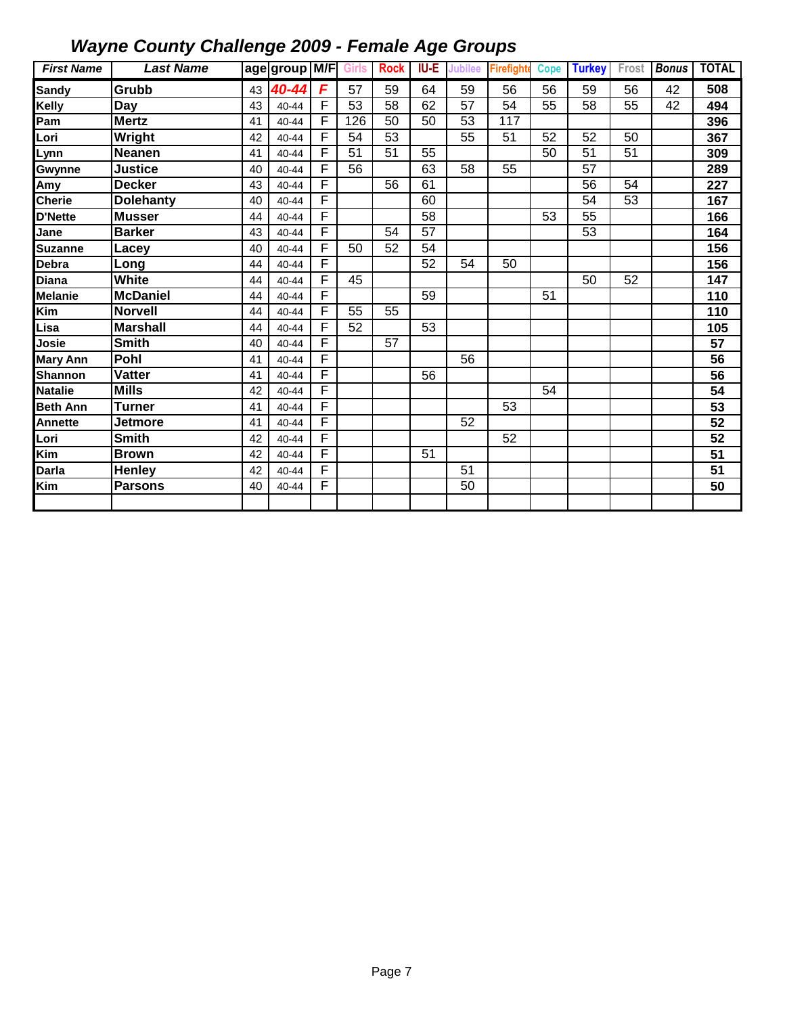| <b>First Name</b> | <b>Last Name</b> |    | age group M/F Girls |                |                 | <b>Rock</b>     | IU-E            | <b>Jubilee</b>  | <b>Firefight</b> | <b>Cope</b> | <b>Turkey</b> | Frost | <b>Bonus</b> | <b>TOTAL</b>    |
|-------------------|------------------|----|---------------------|----------------|-----------------|-----------------|-----------------|-----------------|------------------|-------------|---------------|-------|--------------|-----------------|
| <b>Sandy</b>      | Grubb            | 43 | 40-44               | F              | 57              | 59              | 64              | 59              | 56               | 56          | 59            | 56    | 42           | 508             |
| Kelly             | Day              | 43 | 40-44               | F              | 53              | 58              | 62              | $\overline{57}$ | 54               | 55          | 58            | 55    | 42           | 494             |
| Pam               | <b>Mertz</b>     | 41 | 40-44               | F              | 126             | 50              | 50              | 53              | 117              |             |               |       |              | 396             |
| _ori              | Wright           | 42 | 40-44               | F              | 54              | 53              |                 | 55              | 51               | 52          | 52            | 50    |              | 367             |
| Lynn              | <b>Neanen</b>    | 41 | 40-44               | F              | 51              | 51              | 55              |                 |                  | 50          | 51            | 51    |              | 309             |
| Gwynne            | <b>Justice</b>   | 40 | 40-44               | F              | 56              |                 | 63              | 58              | 55               |             | 57            |       |              | 289             |
| Amy               | <b>Decker</b>    | 43 | 40-44               | F              |                 | 56              | 61              |                 |                  |             | 56            | 54    |              | 227             |
| <b>Cherie</b>     | <b>Dolehanty</b> | 40 | 40-44               | F              |                 |                 | 60              |                 |                  |             | 54            | 53    |              | 167             |
| D'Nette           | <b>Musser</b>    | 44 | 40-44               | F              |                 |                 | 58              |                 |                  | 53          | 55            |       |              | 166             |
| Jane              | <b>Barker</b>    | 43 | $40 - 44$           | $\overline{F}$ |                 | 54              | 57              |                 |                  |             | 53            |       |              | 164             |
| <b>Suzanne</b>    | Lacev            | 40 | 40-44               | F              | 50              | 52              | $\overline{54}$ |                 |                  |             |               |       |              | 156             |
| Debra             | Long             | 44 | 40-44               | F              |                 |                 | $\overline{52}$ | $\overline{54}$ | $\overline{50}$  |             |               |       |              | 156             |
| Diana             | White            | 44 | 40-44               | F              | 45              |                 |                 |                 |                  |             | 50            | 52    |              | 147             |
| <b>Melanie</b>    | <b>McDaniel</b>  | 44 | 40-44               | F              |                 |                 | 59              |                 |                  | 51          |               |       |              | 110             |
| Kim               | <b>Norvell</b>   | 44 | 40-44               | F              | $\overline{55}$ | 55              |                 |                 |                  |             |               |       |              | 110             |
| Lisa              | <b>Marshall</b>  | 44 | 40-44               | F              | 52              |                 | 53              |                 |                  |             |               |       |              | 105             |
| Josie             | <b>Smith</b>     | 40 | 40-44               | F              |                 | $\overline{57}$ |                 |                 |                  |             |               |       |              | 57              |
| <b>Mary Ann</b>   | Pohl             | 41 | 40-44               | F              |                 |                 |                 | $\overline{56}$ |                  |             |               |       |              | $\overline{56}$ |
| <b>Shannon</b>    | Vatter           | 41 | 40-44               | F              |                 |                 | 56              |                 |                  |             |               |       |              | 56              |
| <b>Natalie</b>    | <b>Mills</b>     | 42 | 40-44               | F              |                 |                 |                 |                 |                  | 54          |               |       |              | 54              |
| <b>Beth Ann</b>   | <b>Turner</b>    | 41 | 40-44               | F              |                 |                 |                 |                 | 53               |             |               |       |              | 53              |
| Annette           | Jetmore          | 41 | 40-44               | F              |                 |                 |                 | 52              |                  |             |               |       |              | 52              |
| Lori              | <b>Smith</b>     | 42 | 40-44               | F              |                 |                 |                 |                 | 52               |             |               |       |              | 52              |
| Kim               | <b>Brown</b>     | 42 | 40-44               | F              |                 |                 | 51              |                 |                  |             |               |       |              | 51              |
| Darla             | Henley           | 42 | 40-44               | F              |                 |                 |                 | 51              |                  |             |               |       |              | 51              |
| Kim               | <b>Parsons</b>   | 40 | 40-44               | F              |                 |                 |                 | 50              |                  |             |               |       |              | 50              |
|                   |                  |    |                     |                |                 |                 |                 |                 |                  |             |               |       |              |                 |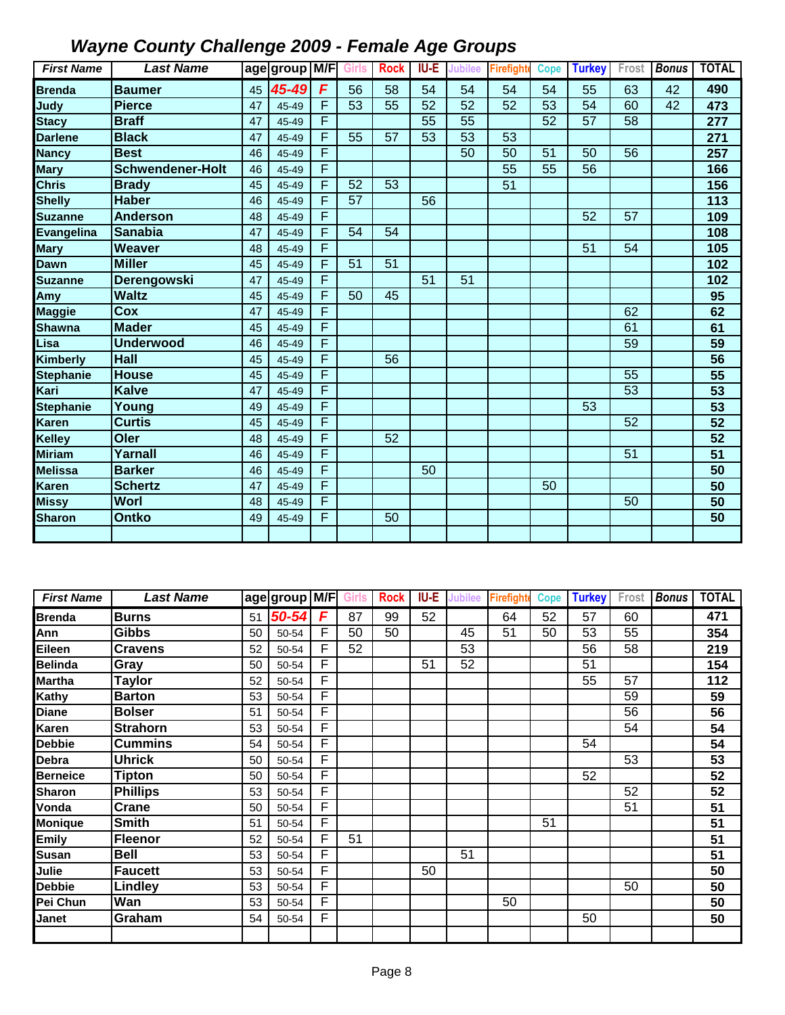| <b>First Name</b> | <b>Last Name</b>        |    | age group M/F Girls |   |    | <b>Rock</b> | IU-E | <b>Jubilee</b> | Firefight | <b>Cope</b> | <b>Turkey</b>   | Frost | <b>Bonus</b> | <b>TOTAL</b>    |
|-------------------|-------------------------|----|---------------------|---|----|-------------|------|----------------|-----------|-------------|-----------------|-------|--------------|-----------------|
| <b>Brenda</b>     | <b>Baumer</b>           | 45 | 45-49               | F | 56 | 58          | 54   | 54             | 54        | 54          | 55              | 63    | 42           | 490             |
| Judy              | <b>Pierce</b>           | 47 | 45-49               | F | 53 | 55          | 52   | 52             | 52        | 53          | 54              | 60    | 42           | 473             |
| <b>Stacy</b>      | <b>Braff</b>            | 47 | 45-49               | F |    |             | 55   | 55             |           | 52          | 57              | 58    |              | 277             |
| <b>Darlene</b>    | <b>Black</b>            | 47 | 45-49               | F | 55 | 57          | 53   | 53             | 53        |             |                 |       |              | 271             |
| <b>Nancy</b>      | <b>Best</b>             | 46 | 45-49               | F |    |             |      | 50             | 50        | 51          | 50              | 56    |              | 257             |
| <b>Mary</b>       | <b>Schwendener-Holt</b> | 46 | 45-49               | F |    |             |      |                | 55        | 55          | $\overline{56}$ |       |              | 166             |
| <b>Chris</b>      | <b>Brady</b>            | 45 | 45-49               | F | 52 | 53          |      |                | 51        |             |                 |       |              | 156             |
| <b>Shelly</b>     | <b>Haber</b>            | 46 | 45-49               | F | 57 |             | 56   |                |           |             |                 |       |              | 113             |
| <b>Suzanne</b>    | <b>Anderson</b>         | 48 | 45-49               | F |    |             |      |                |           |             | 52              | 57    |              | 109             |
| <b>Evangelina</b> | <b>Sanabia</b>          | 47 | 45-49               | F | 54 | 54          |      |                |           |             |                 |       |              | 108             |
| <b>Mary</b>       | <b>Weaver</b>           | 48 | 45-49               | F |    |             |      |                |           |             | 51              | 54    |              | 105             |
| Dawn              | <b>Miller</b>           | 45 | 45-49               | F | 51 | 51          |      |                |           |             |                 |       |              | 102             |
| <b>Suzanne</b>    | <b>Derengowski</b>      | 47 | 45-49               | F |    |             | 51   | 51             |           |             |                 |       |              | 102             |
| Amy               | <b>Waltz</b>            | 45 | 45-49               | F | 50 | 45          |      |                |           |             |                 |       |              | 95              |
| <b>Maggie</b>     | Cox                     | 47 | 45-49               | F |    |             |      |                |           |             |                 | 62    |              | 62              |
| <b>Shawna</b>     | <b>Mader</b>            | 45 | 45-49               | F |    |             |      |                |           |             |                 | 61    |              | 61              |
| Lisa              | <b>Underwood</b>        | 46 | 45-49               | F |    |             |      |                |           |             |                 | 59    |              | 59              |
| Kimberly          | <b>Hall</b>             | 45 | 45-49               | F |    | 56          |      |                |           |             |                 |       |              | $\overline{56}$ |
| <b>Stephanie</b>  | <b>House</b>            | 45 | 45-49               | F |    |             |      |                |           |             |                 | 55    |              | 55              |
| Kari              | <b>Kalve</b>            | 47 | 45-49               | F |    |             |      |                |           |             |                 | 53    |              | 53              |
| <b>Stephanie</b>  | Young                   | 49 | 45-49               | F |    |             |      |                |           |             | 53              |       |              | 53              |
| <b>Karen</b>      | <b>Curtis</b>           | 45 | 45-49               | F |    |             |      |                |           |             |                 | 52    |              | 52              |
| Kelley            | Oler                    | 48 | 45-49               | F |    | 52          |      |                |           |             |                 |       |              | 52              |
| <b>Miriam</b>     | Yarnall                 | 46 | 45-49               | F |    |             |      |                |           |             |                 | 51    |              | 51              |
| <b>Melissa</b>    | <b>Barker</b>           | 46 | 45-49               | F |    |             | 50   |                |           |             |                 |       |              | 50              |
| <b>Karen</b>      | <b>Schertz</b>          | 47 | 45-49               | F |    |             |      |                |           | 50          |                 |       |              | 50              |
| <b>Missy</b>      | Worl                    | 48 | 45-49               | F |    |             |      |                |           |             |                 | 50    |              | 50              |
| <b>Sharon</b>     | <b>Ontko</b>            | 49 | 45-49               | F |    | 50          |      |                |           |             |                 |       |              | 50              |
|                   |                         |    |                     |   |    |             |      |                |           |             |                 |       |              |                 |

| <b>First Name</b> | <b>Last Name</b> |    | 'age group M/F |   | Girls | <b>Rock</b> | IU-E | <b>Jubilee</b> | <b>Firefight</b> | <b>Cope</b> | <b>Turkey</b> | Frost | <b>Bonus</b> | <b>TOTAL</b> |
|-------------------|------------------|----|----------------|---|-------|-------------|------|----------------|------------------|-------------|---------------|-------|--------------|--------------|
| <b>Brenda</b>     | <b>Burns</b>     | 51 | 50-54          | F | 87    | 99          | 52   |                | 64               | 52          | 57            | 60    |              | 471          |
| Ann               | <b>Gibbs</b>     | 50 | 50-54          | F | 50    | 50          |      | 45             | 51               | 50          | 53            | 55    |              | 354          |
| Eileen            | <b>Cravens</b>   | 52 | 50-54          | F | 52    |             |      | 53             |                  |             | 56            | 58    |              | 219          |
| <b>Belinda</b>    | Gray             | 50 | 50-54          | F |       |             | 51   | 52             |                  |             | 51            |       |              | 154          |
| <b>Martha</b>     | <b>Taylor</b>    | 52 | 50-54          | F |       |             |      |                |                  |             | 55            | 57    |              | 112          |
| Kathy             | <b>Barton</b>    | 53 | 50-54          | F |       |             |      |                |                  |             |               | 59    |              | 59           |
| <b>Diane</b>      | <b>Bolser</b>    | 51 | 50-54          | F |       |             |      |                |                  |             |               | 56    |              | 56           |
| Karen             | <b>Strahorn</b>  | 53 | 50-54          | F |       |             |      |                |                  |             |               | 54    |              | 54           |
| Debbie            | <b>Cummins</b>   | 54 | 50-54          | F |       |             |      |                |                  |             | 54            |       |              | 54           |
| Debra             | <b>Uhrick</b>    | 50 | 50-54          | F |       |             |      |                |                  |             |               | 53    |              | 53           |
| Berneice          | <b>Tipton</b>    | 50 | 50-54          | F |       |             |      |                |                  |             | 52            |       |              | 52           |
| <b>Sharon</b>     | <b>Phillips</b>  | 53 | 50-54          | F |       |             |      |                |                  |             |               | 52    |              | 52           |
| Vonda             | Crane            | 50 | 50-54          | F |       |             |      |                |                  |             |               | 51    |              | 51           |
| <b>Monique</b>    | <b>Smith</b>     | 51 | 50-54          | F |       |             |      |                |                  | 51          |               |       |              | 51           |
| <b>Emily</b>      | <b>Fleenor</b>   | 52 | 50-54          | F | 51    |             |      |                |                  |             |               |       |              | 51           |
| Susan             | <b>Bell</b>      | 53 | 50-54          | F |       |             |      | 51             |                  |             |               |       |              | 51           |
| Julie             | <b>Faucett</b>   | 53 | 50-54          | F |       |             | 50   |                |                  |             |               |       |              | 50           |
| Debbie            | Lindley          | 53 | 50-54          | F |       |             |      |                |                  |             |               | 50    |              | 50           |
| Pei Chun          | Wan              | 53 | 50-54          | F |       |             |      |                | 50               |             |               |       |              | 50           |
| Janet             | Graham           | 54 | 50-54          | F |       |             |      |                |                  |             | 50            |       |              | 50           |
|                   |                  |    |                |   |       |             |      |                |                  |             |               |       |              |              |